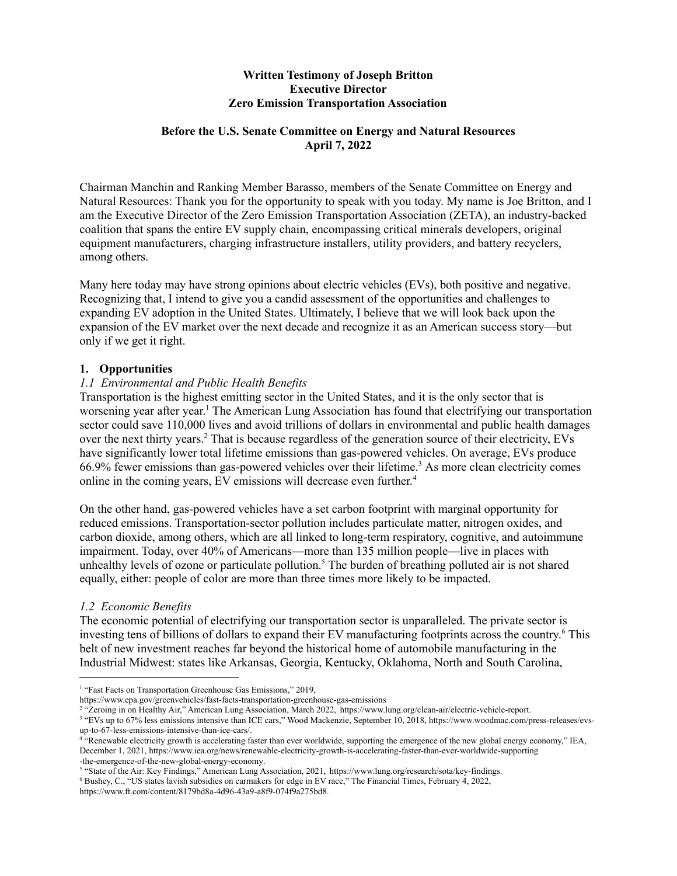# **Written Testimony of Joseph Britton Executive Director Zero Emission Transportation Association**

### **Before the U.S. Senate Committee on Energy and Natural Resources April 7, 2022**

Chairman Manchin and Ranking Member Barasso, members of the Senate Committee on Energy and Natural Resources: Thank you for the opportunity to speak with you today. My name is Joe Britton, and I am the Executive Director of the Zero Emission Transportation Association (ZETA), an industry-backed coalition that spans the entire EV supply chain, encompassing critical minerals developers, original equipment manufacturers, charging infrastructure installers, utility providers, and battery recyclers, among others.

Many here today may have strong opinions about electric vehicles (EVs), both positive and negative. Recognizing that, I intend to give you a candid assessment of the opportunities and challenges to expanding EV adoption in the United States. Ultimately, I believe that we will look back upon the expansion of the EV market over the next decade and recognize it as an American success story—but only if we get it right.

### **1. Opportunities**

# *1.1 Environmental and Public Health Benefits*

Transportation is the highest emitting sector in the United States, and it is the only sector that is worsening year after year. <sup>1</sup> The American Lung Association has found that electrifying our transportation sector could save 110,000 lives and avoid trillions of dollars in environmental and public health damages over the next thirty years. <sup>2</sup> That is because regardless of the generation source of their electricity, EVs have significantly lower total lifetime emissions than gas-powered vehicles. On average, EVs produce 66.9% fewer emissions than gas-powered vehicles over their lifetime. <sup>3</sup> As more clean electricity comes online in the coming years, EV emissions will decrease even further. 4

On the other hand, gas-powered vehicles have a set carbon footprint with marginal opportunity for reduced emissions. Transportation-sector pollution includes particulate matter, nitrogen oxides, and carbon dioxide, among others, which are all linked to long-term respiratory, cognitive, and autoimmune impairment. Today, over 40% of Americans—more than 135 million people—live in places with unhealthy levels of ozone or particulate pollution. <sup>5</sup> The burden of breathing polluted air is not shared equally, either: people of color are more than three times more likely to be impacted.

### *1.2 Economic Benefits*

The economic potential of electrifying our transportation sector is unparalleled. The private sector is investing tens of billions of dollars to expand their EV manufacturing footprints across the country. <sup>6</sup> This belt of new investment reaches far beyond the historical home of automobile manufacturing in the Industrial Midwest: states like Arkansas, Georgia, Kentucky, Oklahoma, North and South Carolina,

<sup>&</sup>lt;sup>1</sup> "Fast Facts on Transportation Greenhouse Gas Emissions," 2019,

https://www.epa.gov/greenvehicles/fast-facts-transportation-greenhouse-gas-emissions

<sup>&</sup>lt;sup>2</sup> "Zeroing in on Healthy Air," American Lung Association, March 2022, [https://www.lung.org/clean-air/electric-vehicle-report.](https://www.lung.org/clean-air/electric-vehicle-report)

<sup>&</sup>lt;sup>3</sup> "EVs up to 67% less emissions intensive than ICE cars," Wood Mackenzie, September 10, 2018, [https://www.woodmac.com/press-releases/evs](https://www.woodmac.com/press-releases/evs-up-to-67-less-emissions-intensive-than-ice-cars/)[up-to-67-less-emissions-intensive-than-ice-cars/](https://www.woodmac.com/press-releases/evs-up-to-67-less-emissions-intensive-than-ice-cars/).

<sup>4</sup> "Renewable electricity growth is accelerating faster than ever worldwide, supporting the emergence of the new global energy economy," IEA, December 1, 2021, [https://www.iea.org/news/renewable-electricity-growth-is-accelerating-faster-than-ever-worldwide-supporting](https://www.iea.org/news/renewable-electricity-growth-is-accelerating-faster-than-ever-worldwide-supporting-the-emergence-of-the-new-global-energy-economy) [-the-emergence-of-the-new-global-energy-economy](https://www.iea.org/news/renewable-electricity-growth-is-accelerating-faster-than-ever-worldwide-supporting-the-emergence-of-the-new-global-energy-economy).

<sup>5</sup> "State of the Air: Key Findings," American Lung Association, 2021, <https://www.lung.org/research/sota/key-findings>.

<sup>6</sup> Bushey, C., "US states lavish subsidies on carmakers for edge in EV race," The Financial Times, February 4, 2022, [https://www.ft.com/content/8179bd8a-4d96-43a9-a8f9-074f9a275bd8.](https://www.ft.com/content/8179bd8a-4d96-43a9-a8f9-074f9a275bd8)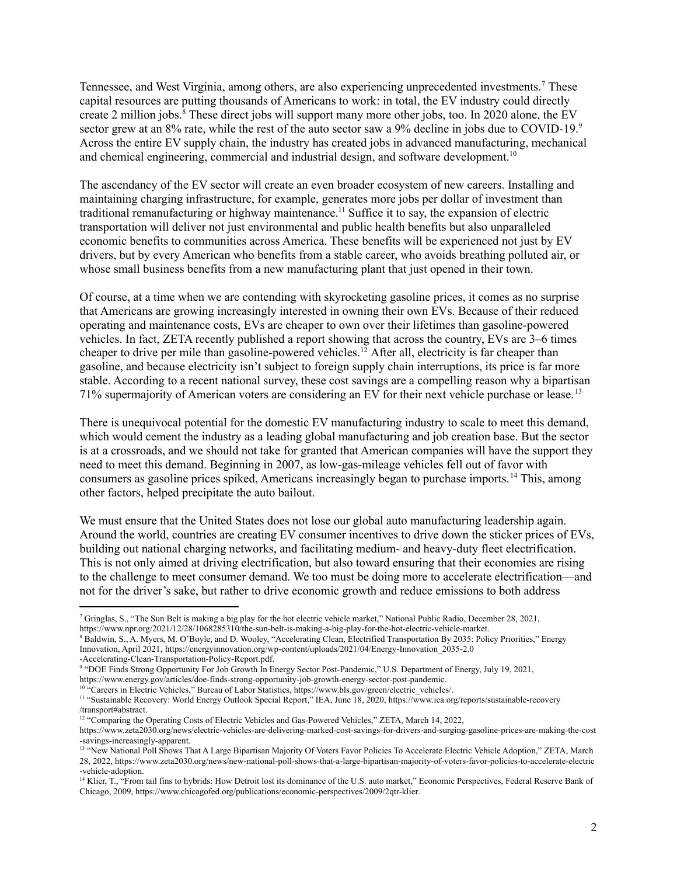Tennessee, and West Virginia, among others, are also experiencing unprecedented investments. <sup>7</sup> These capital resources are putting thousands of Americans to work: in total, the EV industry could directly create 2 million jobs. <sup>8</sup> These direct jobs will support many more other jobs, too. In 2020 alone, the EV sector grew at an 8% rate, while the rest of the auto sector saw a 9% decline in jobs due to COVID-19.<sup>9</sup> Across the entire EV supply chain, the industry has created jobs in advanced manufacturing, mechanical and chemical engineering, commercial and industrial design, and software development.<sup>10</sup>

The ascendancy of the EV sector will create an even broader ecosystem of new careers. Installing and maintaining charging infrastructure, for example, generates more jobs per dollar of investment than traditional remanufacturing or highway maintenance. <sup>11</sup> Suffice it to say, the expansion of electric transportation will deliver not just environmental and public health benefits but also unparalleled economic benefits to communities across America. These benefits will be experienced not just by EV drivers, but by every American who benefits from a stable career, who avoids breathing polluted air, or whose small business benefits from a new manufacturing plant that just opened in their town.

Of course, at a time when we are contending with skyrocketing gasoline prices, it comes as no surprise that Americans are growing increasingly interested in owning their own EVs. Because of their reduced operating and maintenance costs, EVs are cheaper to own over their lifetimes than gasoline-powered vehicles. In fact, ZETA recently published a report showing that across the country, EVs are 3–6 times cheaper to drive per mile than gasoline-powered vehicles. <sup>12</sup> After all, electricity is far cheaper than gasoline, and because electricity isn't subject to foreign supply chain interruptions, its price is far more stable. According to a recent national survey, these cost savings are a compelling reason why a bipartisan 71% supermajority of American voters are considering an EV for their next vehicle purchase or lease. 13

There is unequivocal potential for the domestic EV manufacturing industry to scale to meet this demand, which would cement the industry as a leading global manufacturing and job creation base. But the sector is at a crossroads, and we should not take for granted that American companies will have the support they need to meet this demand. Beginning in 2007, as low-gas-mileage vehicles fell out of favor with consumers as gasoline prices spiked, Americans increasingly began to purchase imports. <sup>14</sup> This, among other factors, helped precipitate the auto bailout.

We must ensure that the United States does not lose our global auto manufacturing leadership again. Around the world, countries are creating EV consumer incentives to drive down the sticker prices of EVs, building out national charging networks, and facilitating medium- and heavy-duty fleet electrification. This is not only aimed at driving electrification, but also toward ensuring that their economies are rising to the challenge to meet consumer demand. We too must be doing more to accelerate electrification—and not for the driver's sake, but rather to drive economic growth and reduce emissions to both address

<sup>7</sup> Gringlas, S., "The Sun Belt is making a big play for the hot electric vehicle market," National Public Radio, December 28, 2021, [https://www.npr.org/2021/12/28/1068285310/the-sun-belt-is-making-a-big-play-for-the-hot-electric-vehicle-market.](https://www.npr.org/2021/12/28/1068285310/the-sun-belt-is-making-a-big-play-for-the-hot-electric-vehicle-market)

<sup>8</sup> Baldwin, S., A. Myers, M. O'Boyle, and D. Wooley, "Accelerating Clean, Electrified Transportation By 2035: Policy Priorities," Energy Innovation, April 2021, [https://energyinnovation.org/wp-content/uploads/2021/04/Energy-Innovation\\_2035-2.0](https://energyinnovation.org/wp-content/uploads/2021/04/Energy-Innovation_2035-2.0-Accelerating-Clean-Transportation-Policy-Report.pdf)

[<sup>-</sup>Accelerating-Clean-Transportation-Policy-Report.pdf](https://energyinnovation.org/wp-content/uploads/2021/04/Energy-Innovation_2035-2.0-Accelerating-Clean-Transportation-Policy-Report.pdf).

<sup>9</sup> "DOE Finds Strong Opportunity For Job Growth In Energy Sector Post-Pandemic," U.S. Department of Energy, July 19, 2021, <https://www.energy.gov/articles/doe-finds-strong-opportunity-job-growth-energy-sector-post-pandemic>.

<sup>&</sup>lt;sup>10</sup> "Careers in Electric Vehicles," Bureau of Labor Statistics, https://www.bls.gov/green/electric\_vehicles/.

<sup>11</sup> "Sustainable Recovery: World Energy Outlook Special Report," IEA, June 18, 2020, [https://www.iea.org/reports/sustainable-recovery](https://www.iea.org/reports/sustainable-recovery/transport#abstract) [/transport#abstract](https://www.iea.org/reports/sustainable-recovery/transport#abstract).

<sup>&</sup>lt;sup>12</sup> "Comparing the Operating Costs of Electric Vehicles and Gas-Powered Vehicles," ZETA, March 14, 2022,

[https://www.zeta2030.org/news/electric-vehicles-are-delivering-marked-cost-savings-for-drivers-and-surging-gasoline-prices-are-making-the-cost](https://www.zeta2030.org/news/electric-vehicles-are-delivering-marked-cost-savings-for-drivers-and-surging-gasoline-prices-are-making-the-cost-savings-increasingly-apparent) [-savings-increasingly-apparent.](https://www.zeta2030.org/news/electric-vehicles-are-delivering-marked-cost-savings-for-drivers-and-surging-gasoline-prices-are-making-the-cost-savings-increasingly-apparent)

<sup>&</sup>lt;sup>13</sup> "New National Poll Shows That A Large Bipartisan Majority Of Voters Favor Policies To Accelerate Electric Vehicle Adoption," ZETA, March 28, 2022, [https://www.zeta2030.org/news/new-national-poll-shows-that-a-large-bipartisan-majority-of-voters-favor-policies-to-accelerate-electric](https://www.zeta2030.org/news/new-national-poll-shows-that-a-large-bipartisan-majority-of-voters-favor-policies-to-accelerate-electric-vehicle-adoption) [-vehicle-adoption](https://www.zeta2030.org/news/new-national-poll-shows-that-a-large-bipartisan-majority-of-voters-favor-policies-to-accelerate-electric-vehicle-adoption).

<sup>&</sup>lt;sup>14</sup> Klier. T., "From tail fins to hybrids: How Detroit lost its dominance of the U.S. auto market," Economic Perspectives, Federal Reserve Bank of Chicago, 2009, <https://www.chicagofed.org/publications/economic-perspectives/2009/2qtr-klier>.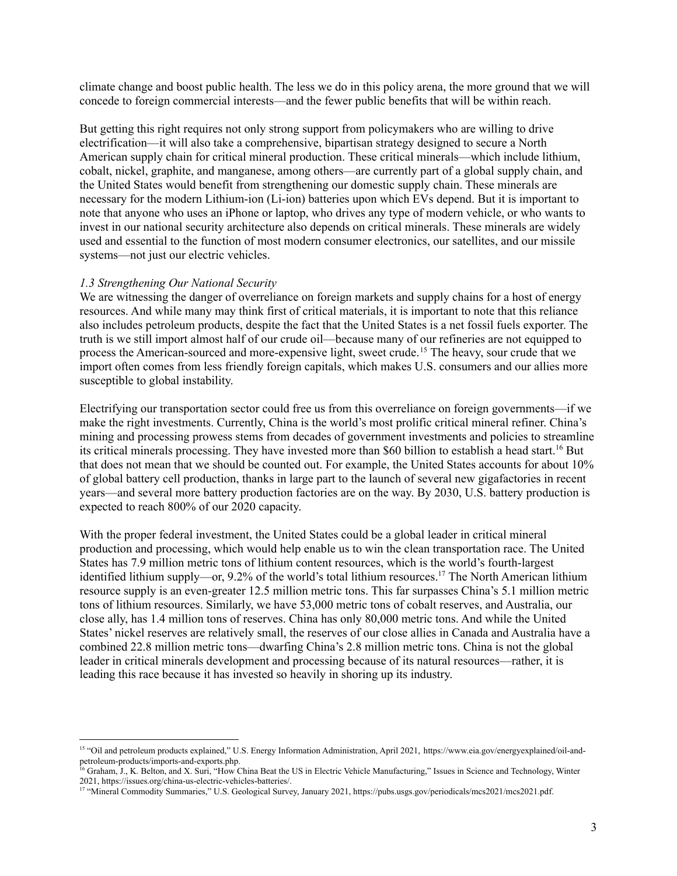climate change and boost public health. The less we do in this policy arena, the more ground that we will concede to foreign commercial interests—and the fewer public benefits that will be within reach.

But getting this right requires not only strong support from policymakers who are willing to drive electrification—it will also take a comprehensive, bipartisan strategy designed to secure a North American supply chain for critical mineral production. These critical minerals—which include lithium, cobalt, nickel, graphite, and manganese, among others—are currently part of a global supply chain, and the United States would benefit from strengthening our domestic supply chain. These minerals are necessary for the modern Lithium-ion (Li-ion) batteries upon which EVs depend. But it is important to note that anyone who uses an iPhone or laptop, who drives any type of modern vehicle, or who wants to invest in our national security architecture also depends on critical minerals. These minerals are widely used and essential to the function of most modern consumer electronics, our satellites, and our missile systems—not just our electric vehicles.

#### *1.3 Strengthening Our National Security*

We are witnessing the danger of overreliance on foreign markets and supply chains for a host of energy resources. And while many may think first of critical materials, it is important to note that this reliance also includes petroleum products, despite the fact that the United States is a net fossil fuels exporter. The truth is we still import almost half of our crude oil—because many of our refineries are not equipped to process the American-sourced and more-expensive light, sweet crude.<sup>15</sup> The heavy, sour crude that we import often comes from less friendly foreign capitals, which makes U.S. consumers and our allies more susceptible to global instability.

Electrifying our transportation sector could free us from this overreliance on foreign governments—if we make the right investments. Currently, China is the world's most prolific critical mineral refiner. China's mining and processing prowess stems from decades of government investments and policies to streamline its critical minerals processing. They have invested more than \$60 billion to establish a head start. <sup>16</sup> But that does not mean that we should be counted out. For example, the United States accounts for about 10% of global battery cell production, thanks in large part to the launch of several new gigafactories in recent years—and several more battery production factories are on the way. By 2030, U.S. battery production is expected to reach 800% of our 2020 capacity.

With the proper federal investment, the United States could be a global leader in critical mineral production and processing, which would help enable us to win the clean transportation race. The United States has 7.9 million metric tons of lithium content resources, which is the world's fourth-largest identified lithium supply—or, 9.2% of the world's total lithium resources.<sup>17</sup> The North American lithium resource supply is an even-greater 12.5 million metric tons. This far surpasses China's 5.1 million metric tons of lithium resources. Similarly, we have 53,000 metric tons of cobalt reserves, and Australia, our close ally, has 1.4 million tons of reserves. China has only 80,000 metric tons. And while the United States' nickel reserves are relatively small, the reserves of our close allies in Canada and Australia have a combined 22.8 million metric tons—dwarfing China's 2.8 million metric tons. China is not the global leader in critical minerals development and processing because of its natural resources—rather, it is leading this race because it has invested so heavily in shoring up its industry.

<sup>15</sup> "Oil and petroleum products explained," U.S. Energy Information Administration, April 2021, [https://www.eia.gov/energyexplained/oil-and](https://www.eia.gov/energyexplained/oil-and-petroleum-products/imports-and-exports.php)[petroleum-products/imports-and-exports.php.](https://www.eia.gov/energyexplained/oil-and-petroleum-products/imports-and-exports.php)

<sup>&</sup>lt;sup>16</sup> Graham, J., K. Belton, and X. Suri, "How China Beat the US in Electric Vehicle Manufacturing," Issues in Science and Technology, Winter 2021, <https://issues.org/china-us-electric-vehicles-batteries/>.

<sup>17</sup> "Mineral Commodity Summaries," U.S. Geological Survey, January 2021, <https://pubs.usgs.gov/periodicals/mcs2021/mcs2021.pdf>.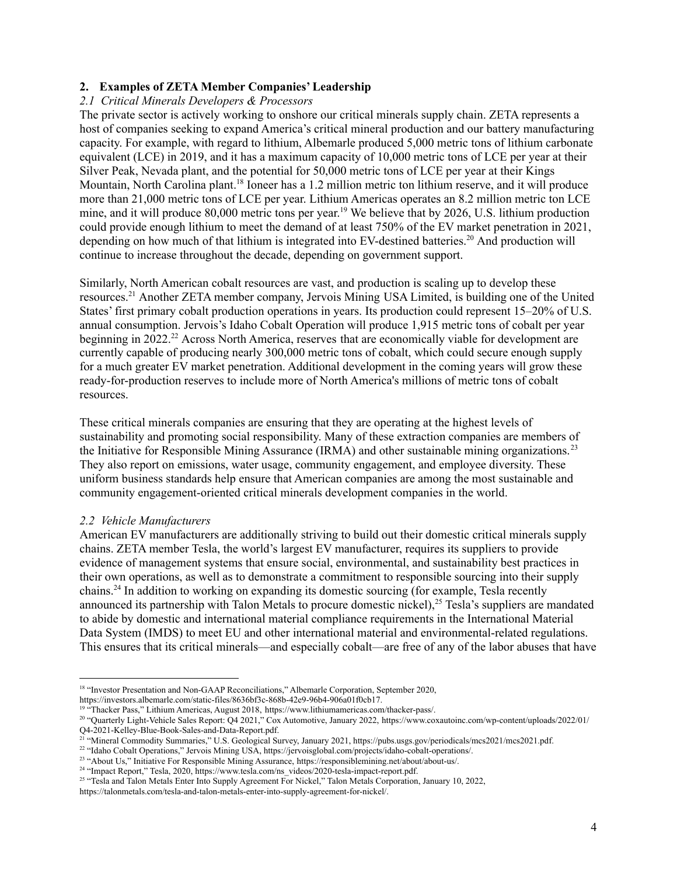# **2. Examples of ZETA Member Companies' Leadership**

### *2.1 Critical Minerals Developers & Processors*

The private sector is actively working to onshore our critical minerals supply chain. ZETA represents a host of companies seeking to expand America's critical mineral production and our battery manufacturing capacity. For example, with regard to lithium, Albemarle produced 5,000 metric tons of lithium carbonate equivalent (LCE) in 2019, and it has a maximum capacity of 10,000 metric tons of LCE per year at their Silver Peak, Nevada plant, and the potential for 50,000 metric tons of LCE per year at their Kings Mountain, North Carolina plant.<sup>18</sup> Ioneer has a 1.2 million metric ton lithium reserve, and it will produce more than 21,000 metric tons of LCE per year. Lithium Americas operates an 8.2 million metric ton LCE mine, and it will produce 80,000 metric tons per year.<sup>19</sup> We believe that by 2026, U.S. lithium production could provide enough lithium to meet the demand of at least 750% of the EV market penetration in 2021, depending on how much of that lithium is integrated into EV-destined batteries. <sup>20</sup> And production will continue to increase throughout the decade, depending on government support.

Similarly, North American cobalt resources are vast, and production is scaling up to develop these resources. <sup>21</sup> Another ZETA member company, Jervois Mining USA Limited, is building one of the United States' first primary cobalt production operations in years. Its production could represent 15–20% of U.S. annual consumption. Jervois's Idaho Cobalt Operation will produce 1,915 metric tons of cobalt per year beginning in 2022.<sup>22</sup> Across North America, reserves that are economically viable for development are currently capable of producing nearly 300,000 metric tons of cobalt, which could secure enough supply for a much greater EV market penetration. Additional development in the coming years will grow these ready-for-production reserves to include more of North America's millions of metric tons of cobalt resources.

These critical minerals companies are ensuring that they are operating at the highest levels of sustainability and promoting social responsibility. Many of these extraction companies are members of the Initiative for Responsible Mining Assurance (IRMA) and other sustainable mining organizations.<sup>23</sup> They also report on emissions, water usage, community engagement, and employee diversity. These uniform business standards help ensure that American companies are among the most sustainable and community engagement-oriented critical minerals development companies in the world.

### *2.2 Vehicle Manufacturers*

American EV manufacturers are additionally striving to build out their domestic critical minerals supply chains. ZETA member Tesla, the world's largest EV manufacturer, requires its suppliers to provide evidence of management systems that ensure social, environmental, and sustainability best practices in their own operations, as well as to demonstrate a commitment to responsible sourcing into their supply chains.<sup>24</sup> In addition to working on expanding its domestic sourcing (for example, Tesla recently announced its partnership with Talon Metals to procure domestic nickel), <sup>25</sup> Tesla's suppliers are mandated to abide by domestic and international material compliance requirements in the International Material Data System (IMDS) to meet EU and other international material and environmental-related regulations. This ensures that its critical minerals—and especially cobalt—are free of any of the labor abuses that have

<sup>&</sup>lt;sup>18</sup> "Investor Presentation and Non-GAAP Reconciliations," Albemarle Corporation, September 2020,

<https://investors.albemarle.com/static-files/8636bf3c-868b-42e9-96b4-906a01f0cb17>.

<sup>&</sup>lt;sup>19 "</sup>Thacker Pass," Lithium Americas, August 2018, <https://www.lithiumamericas.com/thacker-pass/>.

<sup>20</sup> "Quarterly Light-Vehicle Sales Report: Q4 2021," Cox Automotive, January 2022, [https://www.coxautoinc.com/wp-content/uploads/2022/01/](https://www.coxautoinc.com/wp-content/uploads/2022/01/Q4-2021-Kelley-Blue-Book-Sales-and-Data-Report.pdf) [Q4-2021-Kelley-Blue-Book-Sales-and-Data-Report.pdf.](https://www.coxautoinc.com/wp-content/uploads/2022/01/Q4-2021-Kelley-Blue-Book-Sales-and-Data-Report.pdf)

<sup>21</sup> "Mineral Commodity Summaries," U.S. Geological Survey, January 2021, <https://pubs.usgs.gov/periodicals/mcs2021/mcs2021.pdf>.

<sup>22</sup> "Idaho Cobalt Operations," Jervois Mining USA, <https://jervoisglobal.com/projects/idaho-cobalt-operations/>.

<sup>&</sup>lt;sup>23</sup> "About Us," Initiative For Responsible Mining Assurance, [https://responsiblemining.net/about/about-us/.](https://responsiblemining.net/about/about-us/)

<sup>&</sup>lt;sup>24</sup> "Impact Report," Tesla, 2020, [https://www.tesla.com/ns\\_videos/2020-tesla-impact-report.pdf](https://www.tesla.com/ns_videos/2020-tesla-impact-report.pdf).

<sup>&</sup>lt;sup>25</sup> "Tesla and Talon Metals Enter Into Supply Agreement For Nickel," Talon Metals Corporation, January 10, 2022,

[https://talonmetals.com/tesla-and-talon-metals-enter-into-supply-agreement-for-nickel/.](https://talonmetals.com/tesla-and-talon-metals-enter-into-supply-agreement-for-nickel/)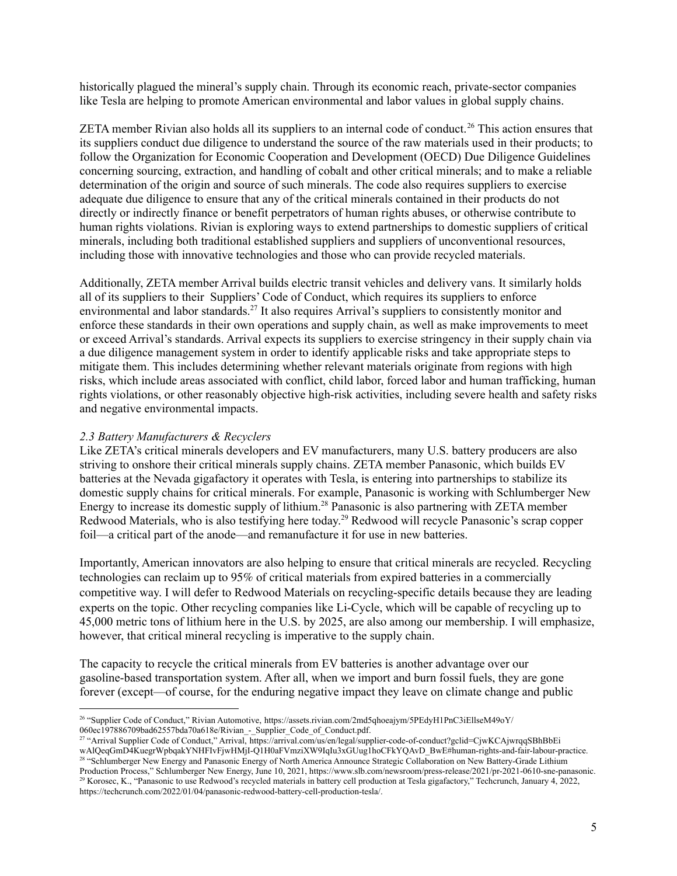historically plagued the mineral's supply chain. Through its economic reach, private-sector companies like Tesla are helping to promote American environmental and labor values in global supply chains.

ZETA member Rivian also holds all its suppliers to an internal code of conduct.<sup>26</sup> This action ensures that its suppliers conduct due diligence to understand the source of the raw materials used in their products; to follow the Organization for Economic Cooperation and Development (OECD) Due Diligence Guidelines concerning sourcing, extraction, and handling of cobalt and other critical minerals; and to make a reliable determination of the origin and source of such minerals. The code also requires suppliers to exercise adequate due diligence to ensure that any of the critical minerals contained in their products do not directly or indirectly finance or benefit perpetrators of human rights abuses, or otherwise contribute to human rights violations. Rivian is exploring ways to extend partnerships to domestic suppliers of critical minerals, including both traditional established suppliers and suppliers of unconventional resources, including those with innovative technologies and those who can provide recycled materials.

Additionally, ZETA member Arrival builds electric transit vehicles and delivery vans. It similarly holds all of its suppliers to their Suppliers' Code of Conduct, which requires its suppliers to enforce environmental and labor standards.<sup>27</sup> It also requires Arrival's suppliers to consistently monitor and enforce these standards in their own operations and supply chain, as well as make improvements to meet or exceed Arrival's standards. Arrival expects its suppliers to exercise stringency in their supply chain via a due diligence management system in order to identify applicable risks and take appropriate steps to mitigate them. This includes determining whether relevant materials originate from regions with high risks, which include areas associated with conflict, child labor, forced labor and human trafficking, human rights violations, or other reasonably objective high-risk activities, including severe health and safety risks and negative environmental impacts.

### *2.3 Battery Manufacturers & Recyclers*

Like ZETA's critical minerals developers and EV manufacturers, many U.S. battery producers are also striving to onshore their critical minerals supply chains. ZETA member Panasonic, which builds EV batteries at the Nevada gigafactory it operates with Tesla, is entering into partnerships to stabilize its domestic supply chains for critical minerals. For example, Panasonic is working with Schlumberger New Energy to increase its domestic supply of lithium. <sup>28</sup> Panasonic is also partnering with ZETA member Redwood Materials, who is also testifying here today.<sup>29</sup> Redwood will recycle Panasonic's scrap copper foil—a critical part of the anode—and remanufacture it for use in new batteries.

Importantly, American innovators are also helping to ensure that critical minerals are recycled. Recycling technologies can reclaim up to 95% of critical materials from expired batteries in a commercially competitive way. I will defer to Redwood Materials on recycling-specific details because they are leading experts on the topic. Other recycling companies like Li-Cycle, which will be capable of recycling up to 45,000 metric tons of lithium here in the U.S. by 2025, are also among our membership. I will emphasize, however, that critical mineral recycling is imperative to the supply chain.

The capacity to recycle the critical minerals from EV batteries is another advantage over our gasoline-based transportation system. After all, when we import and burn fossil fuels, they are gone forever (except—of course, for the enduring negative impact they leave on climate change and public

<sup>26</sup> "Supplier Code of Conduct," Rivian Automotive, [https://assets.rivian.com/2md5qhoeajym/5PEdyH1PnC3iEllseM49oY/](https://assets.rivian.com/2md5qhoeajym/5PEdyH1PnC3iEllseM49oY/060ec197886709bad62557bda70a618e/Rivian_-_Supplier_Code_of_Conduct.pdf) [060ec197886709bad62557bda70a618e/Rivian\\_-\\_Supplier\\_Code\\_of\\_Conduct.pdf.](https://assets.rivian.com/2md5qhoeajym/5PEdyH1PnC3iEllseM49oY/060ec197886709bad62557bda70a618e/Rivian_-_Supplier_Code_of_Conduct.pdf)

<sup>27</sup> "Arrival Supplier Code of Conduct," Arrival, [https://arrival.com/us/en/legal/supplier-code-of-conduct?gclid=CjwKCAjwrqqSBhBbEi](https://arrival.com/us/en/legal/supplier-code-of-conduct?gclid=CjwKCAjwrqqSBhBbEiwAlQeqGmD4KuegrWpbqakYNHFIvFjwHMjI-Q1H0aFVmziXW9IqIu3xGUug1hoCFkYQAvD_BwE#human-rights-and-fair-labour-practice) [wAlQeqGmD4KuegrWpbqakYNHFIvFjwHMjI-Q1H0aFVmziXW9IqIu3xGUug1hoCFkYQAvD\\_BwE#human-rights-and-fair-labour-practice](https://arrival.com/us/en/legal/supplier-code-of-conduct?gclid=CjwKCAjwrqqSBhBbEiwAlQeqGmD4KuegrWpbqakYNHFIvFjwHMjI-Q1H0aFVmziXW9IqIu3xGUug1hoCFkYQAvD_BwE#human-rights-and-fair-labour-practice).

<sup>29</sup> Korosec, K., "Panasonic to use Redwood's recycled materials in battery cell production at Tesla gigafactory," Techcrunch, January 4, 2022, <https://techcrunch.com/2022/01/04/panasonic-redwood-battery-cell-production-tesla/>. <sup>28</sup> "Schlumberger New Energy and Panasonic Energy of North America Announce Strategic Collaboration on New Battery-Grade Lithium Production Process," Schlumberger New Energy, June 10, 2021, <https://www.slb.com/newsroom/press-release/2021/pr-2021-0610-sne-panasonic>.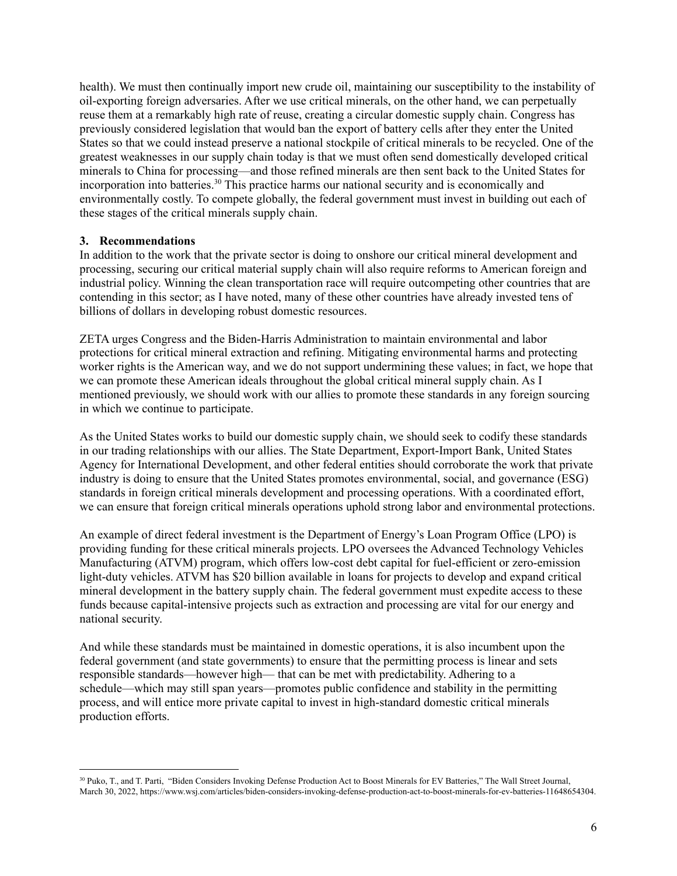health). We must then continually import new crude oil, maintaining our susceptibility to the instability of oil-exporting foreign adversaries. After we use critical minerals, on the other hand, we can perpetually reuse them at a remarkably high rate of reuse, creating a circular domestic supply chain. Congress has previously considered legislation that would ban the export of battery cells after they enter the United States so that we could instead preserve a national stockpile of critical minerals to be recycled. One of the greatest weaknesses in our supply chain today is that we must often send domestically developed critical minerals to China for processing—and those refined minerals are then sent back to the United States for incorporation into batteries. <sup>30</sup> This practice harms our national security and is economically and environmentally costly. To compete globally, the federal government must invest in building out each of these stages of the critical minerals supply chain.

### **3. Recommendations**

In addition to the work that the private sector is doing to onshore our critical mineral development and processing, securing our critical material supply chain will also require reforms to American foreign and industrial policy. Winning the clean transportation race will require outcompeting other countries that are contending in this sector; as I have noted, many of these other countries have already invested tens of billions of dollars in developing robust domestic resources.

ZETA urges Congress and the Biden-Harris Administration to maintain environmental and labor protections for critical mineral extraction and refining. Mitigating environmental harms and protecting worker rights is the American way, and we do not support undermining these values; in fact, we hope that we can promote these American ideals throughout the global critical mineral supply chain. As I mentioned previously, we should work with our allies to promote these standards in any foreign sourcing in which we continue to participate.

As the United States works to build our domestic supply chain, we should seek to codify these standards in our trading relationships with our allies. The State Department, Export-Import Bank, United States Agency for International Development, and other federal entities should corroborate the work that private industry is doing to ensure that the United States promotes environmental, social, and governance (ESG) standards in foreign critical minerals development and processing operations. With a coordinated effort, we can ensure that foreign critical minerals operations uphold strong labor and environmental protections.

An example of direct federal investment is the Department of Energy's Loan Program Office (LPO) is providing funding for these critical minerals projects. LPO oversees the Advanced Technology Vehicles Manufacturing (ATVM) program, which offers low-cost debt capital for fuel-efficient or zero-emission light-duty vehicles. ATVM has \$20 billion available in loans for projects to develop and expand critical mineral development in the battery supply chain. The federal government must expedite access to these funds because capital-intensive projects such as extraction and processing are vital for our energy and national security.

And while these standards must be maintained in domestic operations, it is also incumbent upon the federal government (and state governments) to ensure that the permitting process is linear and sets responsible standards—however high— that can be met with predictability. Adhering to a schedule—which may still span years—promotes public confidence and stability in the permitting process, and will entice more private capital to invest in high-standard domestic critical minerals production efforts.

<sup>&</sup>lt;sup>30</sup> Puko, T., and T. Parti, "Biden Considers Invoking Defense Production Act to Boost Minerals for EV Batteries," The Wall Street Journal, March 30, 2022, <https://www.wsj.com/articles/biden-considers-invoking-defense-production-act-to-boost-minerals-for-ev-batteries-11648654304>.